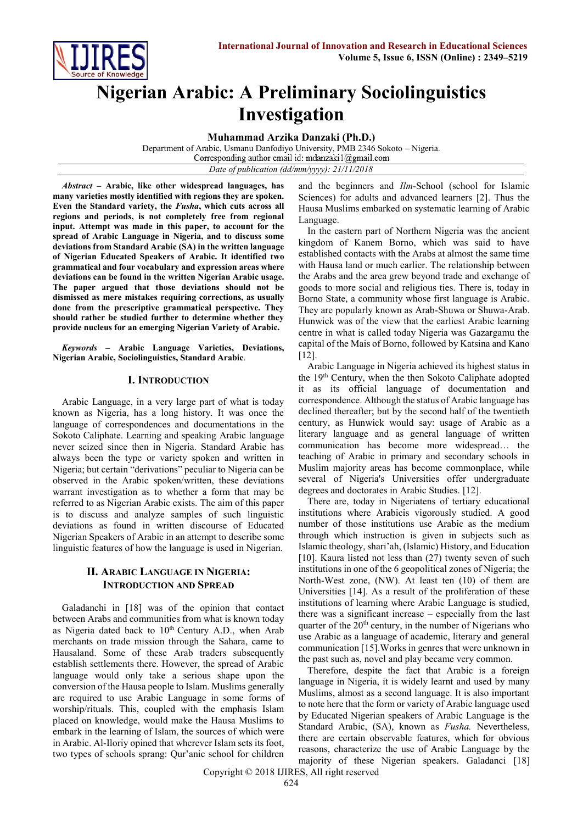

# **Nigerian Arabic: A Preliminary Sociolinguistics Investigation**

**Muhammad Arzika Danzaki (Ph.D.)**

Department of Arabic, Usmanu Danfodiyo University, PMB 2346 Sokoto – Nigeria. *Date of publication (dd/mm/yyyy): 21/11/2018*

*Abstract* **– Arabic, like other widespread languages, has many varieties mostly identified with regions they are spoken. Even the Standard variety, the** *Fusha***, which cuts across all regions and periods, is not completely free from regional input. Attempt was made in this paper, to account for the spread of Arabic Language in Nigeria, and to discuss some deviations from Standard Arabic (SA) in the written language of Nigerian Educated Speakers of Arabic. It identified two grammatical and four vocabulary and expression areas where deviations can be found in the written Nigerian Arabic usage. The paper argued that those deviations should not be dismissed as mere mistakes requiring corrections, as usually done from the prescriptive grammatical perspective. They should rather be studied further to determine whether they provide nucleus for an emerging Nigerian Variety of Arabic.**

*Keywords* **– Arabic Language Varieties, Deviations, Nigerian Arabic, Sociolinguistics, Standard Arabic**.

### **I. INTRODUCTION**

Arabic Language, in a very large part of what is today known as Nigeria, has a long history. It was once the language of correspondences and documentations in the Sokoto Caliphate. Learning and speaking Arabic language never seized since then in Nigeria. Standard Arabic has always been the type or variety spoken and written in Nigeria; but certain "derivations" peculiar to Nigeria can be observed in the Arabic spoken/written, these deviations warrant investigation as to whether a form that may be referred to as Nigerian Arabic exists. The aim of this paper is to discuss and analyze samples of such linguistic deviations as found in written discourse of Educated Nigerian Speakers of Arabic in an attempt to describe some linguistic features of how the language is used in Nigerian.

# **II. ARABIC LANGUAGE IN NIGERIA: INTRODUCTION AND SPREAD**

Galadanchi in [18] was of the opinion that contact between Arabs and communities from what is known today as Nigeria dated back to  $10<sup>th</sup>$  Century A.D., when Arab merchants on trade mission through the Sahara, came to Hausaland. Some of these Arab traders subsequently establish settlements there. However, the spread of Arabic language would only take a serious shape upon the conversion of the Hausa people to Islam. Muslims generally are required to use Arabic Language in some forms of worship/rituals. This, coupled with the emphasis Islam placed on knowledge, would make the Hausa Muslims to embark in the learning of Islam, the sources of which were in Arabic. Al-Iloriy opined that wherever Islam sets its foot, two types of schools sprang: Qur'anic school for children and the beginners and *Ilm*-School (school for Islamic Sciences) for adults and advanced learners [2]. Thus the Hausa Muslims embarked on systematic learning of Arabic Language.

In the eastern part of Northern Nigeria was the ancient kingdom of Kanem Borno, which was said to have established contacts with the Arabs at almost the same time with Hausa land or much earlier. The relationship between the Arabs and the area grew beyond trade and exchange of goods to more social and religious ties. There is, today in Borno State, a community whose first language is Arabic. They are popularly known as Arab-Shuwa or Shuwa-Arab. Hunwick was of the view that the earliest Arabic learning centre in what is called today Nigeria was Gazargamu the capital of the Mais of Borno, followed by Katsina and Kano [12].

Arabic Language in Nigeria achieved its highest status in the 19<sup>th</sup> Century, when the then Sokoto Caliphate adopted it as its official language of documentation and correspondence. Although the status of Arabic language has declined thereafter; but by the second half of the twentieth century, as Hunwick would say: usage of Arabic as a literary language and as general language of written communication has become more widespread… the teaching of Arabic in primary and secondary schools in Muslim majority areas has become commonplace, while several of Nigeria's Universities offer undergraduate degrees and doctorates in Arabic Studies. [12].

There are, today in Nigeriatens of tertiary educational institutions where Arabicis vigorously studied. A good number of those institutions use Arabic as the medium through which instruction is given in subjects such as Islamic theology, shari'ah, (Islamic) History, and Education [10]. Kaura listed not less than (27) twenty seven of such institutions in one of the 6 geopolitical zones of Nigeria; the North-West zone, (NW). At least ten (10) of them are Universities [14]. As a result of the proliferation of these institutions of learning where Arabic Language is studied, there was a significant increase – especially from the last quarter of the 20<sup>th</sup> century, in the number of Nigerians who use Arabic as a language of academic, literary and general communication [15].Works in genres that were unknown in the past such as, novel and play became very common.

Therefore, despite the fact that Arabic is a foreign language in Nigeria, it is widely learnt and used by many Muslims, almost as a second language. It is also important to note here that the form or variety of Arabic language used by Educated Nigerian speakers of Arabic Language is the Standard Arabic, (SA), known as *Fusha.* Nevertheless, there are certain observable features, which for obvious reasons, characterize the use of Arabic Language by the majority of these Nigerian speakers. Galadanci [18]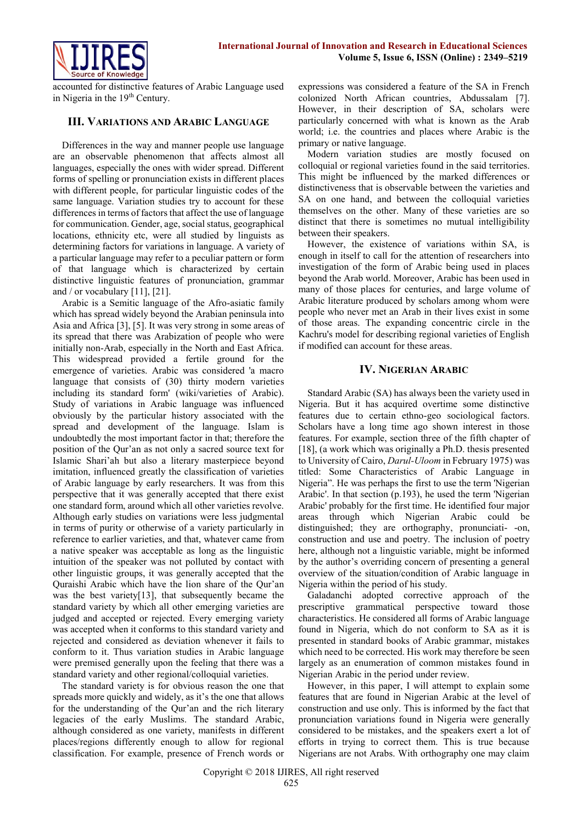

accounted for distinctive features of Arabic Language used in Nigeria in the 19<sup>th</sup> Century.

## **III. VARIATIONS AND ARABIC LANGUAGE**

Differences in the way and manner people use language are an observable phenomenon that affects almost all languages, especially the ones with wider spread. Different forms of spelling or pronunciation exists in different places with different people, for particular linguistic codes of the same language. Variation studies try to account for these differences in terms of factors that affect the use of language for communication. Gender, age, social status, geographical locations, ethnicity etc, were all studied by linguists as determining factors for variations in language. A variety of a particular language may refer to a peculiar pattern or form of that language which is characterized by certain distinctive linguistic features of pronunciation, grammar and / or vocabulary  $[11]$ ,  $[21]$ .

Arabic is a Semitic language of the Afro-asiatic family which has spread widely beyond the Arabian peninsula into Asia and Africa [3], [5]. It was very strong in some areas of its spread that there was Arabization of people who were initially non-Arab, especially in the North and East Africa. This widespread provided a fertile ground for the emergence of varieties. Arabic was considered 'a macro language that consists of (30) thirty modern varieties including its standard form' (wiki/varieties of Arabic). Study of variations in Arabic language was influenced obviously by the particular history associated with the spread and development of the language. Islam is undoubtedly the most important factor in that; therefore the position of the Qur'an as not only a sacred source text for Islamic Shari'ah but also a literary masterpiece beyond imitation, influenced greatly the classification of varieties of Arabic language by early researchers. It was from this perspective that it was generally accepted that there exist one standard form, around which all other varieties revolve. Although early studies on variations were less judgmental in terms of purity or otherwise of a variety particularly in reference to earlier varieties, and that, whatever came from a native speaker was acceptable as long as the linguistic intuition of the speaker was not polluted by contact with other linguistic groups, it was generally accepted that the Quraishi Arabic which have the lion share of the Qur'an was the best variety[13], that subsequently became the standard variety by which all other emerging varieties are judged and accepted or rejected. Every emerging variety was accepted when it conforms to this standard variety and rejected and considered as deviation whenever it fails to conform to it. Thus variation studies in Arabic language were premised generally upon the feeling that there was a standard variety and other regional/colloquial varieties.

The standard variety is for obvious reason the one that spreads more quickly and widely, as it's the one that allows for the understanding of the Qur'an and the rich literary legacies of the early Muslims. The standard Arabic, although considered as one variety, manifests in different places/regions differently enough to allow for regional classification. For example, presence of French words or

expressions was considered a feature of the SA in French colonized North African countries, Abdussalam [7]. However, in their description of SA, scholars were particularly concerned with what is known as the Arab world; i.e. the countries and places where Arabic is the primary or native language.

Modern variation studies are mostly focused on colloquial or regional varieties found in the said territories. This might be influenced by the marked differences or distinctiveness that is observable between the varieties and SA on one hand, and between the colloquial varieties themselves on the other. Many of these varieties are so distinct that there is sometimes no mutual intelligibility between their speakers.

However, the existence of variations within SA, is enough in itself to call for the attention of researchers into investigation of the form of Arabic being used in places beyond the Arab world. Moreover, Arabic has been used in many of those places for centuries, and large volume of Arabic literature produced by scholars among whom were people who never met an Arab in their lives exist in some of those areas. The expanding concentric circle in the Kachru's model for describing regional varieties of English if modified can account for these areas.

# **IV. NIGERIAN ARABIC**

Standard Arabic (SA) has always been the variety used in Nigeria. But it has acquired overtime some distinctive features due to certain ethno-geo sociological factors. Scholars have a long time ago shown interest in those features. For example, section three of the fifth chapter of [18], (a work which was originally a Ph.D. thesis presented to University of Cairo, *Darul-Uloom* in February 1975) was titled: Some Characteristics of Arabic Language in Nigeria". He was perhaps the first to use the term 'Nigerian Arabic'. In that section (p.193), he used the term 'Nigerian Arabic' probably for the first time. He identified four major areas through which Nigerian Arabic could be distinguished; they are orthography, pronunciati- -on, construction and use and poetry. The inclusion of poetry here, although not a linguistic variable, might be informed by the author's overriding concern of presenting a general overview of the situation/condition of Arabic language in Nigeria within the period of his study.

Galadanchi adopted corrective approach of the prescriptive grammatical perspective toward those characteristics. He considered all forms of Arabic language found in Nigeria, which do not conform to SA as it is presented in standard books of Arabic grammar, mistakes which need to be corrected. His work may therefore be seen largely as an enumeration of common mistakes found in Nigerian Arabic in the period under review.

However, in this paper, I will attempt to explain some features that are found in Nigerian Arabic at the level of construction and use only. This is informed by the fact that pronunciation variations found in Nigeria were generally considered to be mistakes, and the speakers exert a lot of efforts in trying to correct them. This is true because Nigerians are not Arabs. With orthography one may claim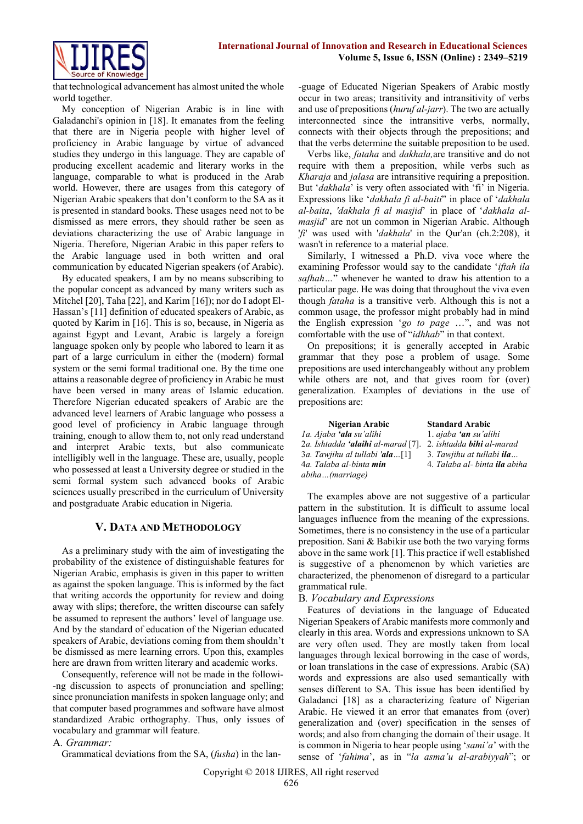

that technological advancement has almost united the whole world together.

My conception of Nigerian Arabic is in line with Galadanchi's opinion in [18]. It emanates from the feeling that there are in Nigeria people with higher level of proficiency in Arabic language by virtue of advanced studies they undergo in this language. They are capable of producing excellent academic and literary works in the language, comparable to what is produced in the Arab world. However, there are usages from this category of Nigerian Arabic speakers that don't conform to the SA as it is presented in standard books. These usages need not to be dismissed as mere errors, they should rather be seen as deviations characterizing the use of Arabic language in Nigeria. Therefore, Nigerian Arabic in this paper refers to the Arabic language used in both written and oral communication by educated Nigerian speakers (of Arabic).

By educated speakers, I am by no means subscribing to the popular concept as advanced by many writers such as Mitchel [20], Taha [22], and Karim [16]); nor do I adopt El-Hassan's [11] definition of educated speakers of Arabic, as quoted by Karim in [16]. This is so, because, in Nigeria as against Egypt and Levant, Arabic is largely a foreign language spoken only by people who labored to learn it as part of a large curriculum in either the (modern) formal system or the semi formal traditional one. By the time one attains a reasonable degree of proficiency in Arabic he must have been versed in many areas of Islamic education. Therefore Nigerian educated speakers of Arabic are the advanced level learners of Arabic language who possess a good level of proficiency in Arabic language through training, enough to allow them to, not only read understand and interpret Arabic texts, but also communicate intelligibly well in the language. These are, usually, people who possessed at least a University degree or studied in the semi formal system such advanced books of Arabic sciences usually prescribed in the curriculum of University and postgraduate Arabic education in Nigeria.

# **V. DATA AND METHODOLOGY**

As a preliminary study with the aim of investigating the probability of the existence of distinguishable features for Nigerian Arabic, emphasis is given in this paper to written as against the spoken language. This is informed by the fact that writing accords the opportunity for review and doing away with slips; therefore, the written discourse can safely be assumed to represent the authors' level of language use. And by the standard of education of the Nigerian educated speakers of Arabic, deviations coming from them shouldn't be dismissed as mere learning errors. Upon this, examples here are drawn from written literary and academic works.

Consequently, reference will not be made in the followi- -ng discussion to aspects of pronunciation and spelling; since pronunciation manifests in spoken language only; and that computer based programmes and software have almost standardized Arabic orthography. Thus, only issues of vocabulary and grammar will feature.

A*. Grammar:*

Grammatical deviations from the SA, (*fusha*) in the lan-

-guage of Educated Nigerian Speakers of Arabic mostly occur in two areas; transitivity and intransitivity of verbs and use of prepositions (*huruf al-jarr*). The two are actually interconnected since the intransitive verbs, normally, connects with their objects through the prepositions; and that the verbs determine the suitable preposition to be used.

Verbs like, *fataha* and *dakhala,*are transitive and do not require with them a preposition, while verbs such as *Kharaja* and *jalasa* are intransitive requiring a preposition. But '*dakhala*' is very often associated with 'fi' in Nigeria. Expressions like '*dakhala fi al-baiti*" in place of '*dakhala al-baita*, *'dakhala fi al masjid*' in place of '*dakhala almasjid*' are not un common in Nigerian Arabic. Although '*fi*' was used with '*dakhala*' in the Qur'an (ch.2:208), it wasn't in reference to a material place.

Similarly, I witnessed a Ph.D. viva voce where the examining Professor would say to the candidate '*iftah ila safhah…*" whenever he wanted to draw his attention to a particular page. He was doing that throughout the viva even though *fataha* is a transitive verb. Although this is not a common usage, the professor might probably had in mind the English expression '*go to page* …", and was not comfortable with the use of "*idhhab*" in that context.

On prepositions; it is generally accepted in Arabic grammar that they pose a problem of usage. Some prepositions are used interchangeably without any problem while others are not, and that gives room for (over) generalization. Examples of deviations in the use of prepositions are:

| Nigerian Arabic                           | <b>Standard Arabic</b>             |
|-------------------------------------------|------------------------------------|
| la. Ajaba <b>'ala</b> su'alihi            | 1. ajaba 'an su'alihi              |
| 2a. Ishtadda <b>'alaihi</b> al-marad [7]. | 2. ishtadda <b>bihi</b> al-marad   |
| 3a. Tawjihu al tullabi ' <b>ala</b> [1]   | 3. Tawjihu at tullabi <b>ila</b>   |
| 4a. Talaba al-binta <b>min</b>            | 4. Talaba al- binta <b>ila</b> abi |
| abiha(marriage)                           |                                    |

3*a. Tawjihu al tullabi 'ala…*[1] 3*. Tawjihu at tullabi ila…*  4*. Talaba al- binta ila abiha* The examples above are not suggestive of a particular

pattern in the substitution. It is difficult to assume local languages influence from the meaning of the expressions. Sometimes, there is no consistency in the use of a particular preposition. Sani & Babikir use both the two varying forms above in the same work [1]. This practice if well established is suggestive of a phenomenon by which varieties are characterized, the phenomenon of disregard to a particular grammatical rule.

# B*. Vocabulary and Expressions*

Features of deviations in the language of Educated Nigerian Speakers of Arabic manifests more commonly and clearly in this area. Words and expressions unknown to SA are very often used. They are mostly taken from local languages through lexical borrowing in the case of words, or loan translations in the case of expressions. Arabic (SA) words and expressions are also used semantically with senses different to SA. This issue has been identified by Galadanci [18] as a characterizing feature of Nigerian Arabic. He viewed it an error that emanates from (over) generalization and (over) specification in the senses of words; and also from changing the domain of their usage. It is common in Nigeria to hear people using '*sami'a*' with the sense of '*fahima*', as in "*la asma'u al-arabiyyah*"; or

Copyright © 2018 IJIRES, All right reserved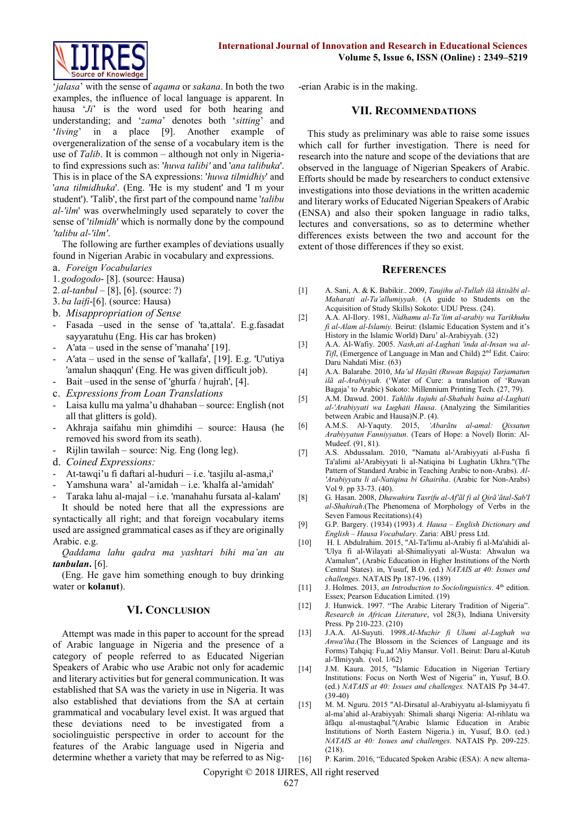

'*jalasa*' with the sense of *aqama* or *sakana*. In both the two examples, the influence of local language is apparent. In hausa '*Ji*' is the word used for both hearing and understanding; and '*zama*' denotes both '*sitting*' and '*living*' in a place [9]. Another example of overgeneralization of the sense of a vocabulary item is the use of *Talib*. It is common – although not only in Nigeriato find expressions such as: '*huwa talibi'* and '*ana talibuka*'. This is in place of the SA expressions: '*huwa tilmidhiy*' and '*ana tilmidhuka*'. (Eng. 'He is my student' and 'I m your student'). 'Talib', the first part of the compound name '*talibu al-'ilm*' was overwhelmingly used separately to cover the sense of '*tilmidh*' which is normally done by the compound *'talibu al-'ilm'*.

The following are further examples of deviations usually found in Nigerian Arabic in vocabulary and expressions.

- a. *Foreign Vocabularies*
- 1. *godogodo* [8]. (source: Hausa)
- 2. *al-tanbul* [8], [6]. (source: ?)
- 3. *ba laifi*-[6]. (source: Hausa)
- b. *Misappropriation of Sense*
- Fasada –used in the sense of 'ta,attala'. E.g.fasadat sayyaratuhu (Eng. His car has broken)
- A'ata used in the sense of 'manaha' [19].
- A'ata used in the sense of 'kallafa', [19]. E.g. 'U'utiya 'amalun shaqqun' (Eng. He was given difficult job).
- Bait –used in the sense of 'ghurfa / hujrah', [4].
- c. *Expressions from Loan Translations*
- Laisa kullu ma yalma'u dhahaban source: English (not all that glitters is gold).
- Akhraja saifahu min ghimdihi source: Hausa (he removed his sword from its seath).
- Rijlin tawilah source: Nig. Eng (long leg).
- d. *Coined Expressions:*
- At-tawqi'u fi daftari al-huduri i.e. 'tasjilu al-asma,i'
- Yamshuna wara' al-'amidah i.e. 'khalfa al-'amidah'
- Taraka lahu al-majal i.e. 'manahahu fursata al-kalam'

It should be noted here that all the expressions are syntactically all right; and that foreign vocabulary items used are assigned grammatical cases as if they are originally Arabic. e.g.

*Qaddama lahu qadra ma yashtari bihi ma'an au tanbulan***.** [6].

(Eng. He gave him something enough to buy drinking water or **kolanut**).

#### **VI. CONCLUSION**

Attempt was made in this paper to account for the spread of Arabic language in Nigeria and the presence of a category of people referred to as Educated Nigerian Speakers of Arabic who use Arabic not only for academic and literary activities but for general communication. It was established that SA was the variety in use in Nigeria. It was also established that deviations from the SA at certain grammatical and vocabulary level exist. It was argued that these deviations need to be investigated from a sociolinguistic perspective in order to account for the features of the Arabic language used in Nigeria and determine whether a variety that may be referred to as Nig-erian Arabic is in the making.

#### **VII. RECOMMENDATIONS**

This study as preliminary was able to raise some issues which call for further investigation. There is need for research into the nature and scope of the deviations that are observed in the language of Nigerian Speakers of Arabic. Efforts should be made by researchers to conduct extensive investigations into those deviations in the written academic and literary works of Educated Nigerian Speakers of Arabic (ENSA) and also their spoken language in radio talks, lectures and conversations, so as to determine whether differences exists between the two and account for the extent of those differences if they so exist.

#### **REFERENCES**

- [1] A. Sani, A. & K. Babikir.. 2009, *Taujihu al-Tullab ilã iktisãbi al-Maharati al-Ta'allumiyyah*. (A guide to Students on the Acquisition of Study Skills) Sokoto: UDU Press. (24).
- [2] A.A. Al-Ilory. 1981, *Nidhamu al-Ta'lim al-arabiy wa Tarikhuhu fi al-Alam al-Islamiy.* Beirut: (Islamic Education System and it's History in the Islamic World) Daru' al-Arabiyyah. (32)
- [3] A.A. Al-Wafiy. 2005. *Nash,ati al-Lughati 'inda al-Insan wa al-Tifl*, (Emergence of Language in Man and Child) 2nd Edit. Cairo: Daru Nahdati Misr. (63)
- [4] A.A. Balarabe. 2010, *Ma'ul Hayãti (Ruwan Bagaja) Tarjamatun ilã al-Arabiyyah*. ('Water of Cure: a translation of 'Ruwan Bagaja' to Arabic) Sokoto: Millennium Printing Tech. (27, 79).
- [5] A.M. Dawud. 2001. *Tahlilu Aujuhi al-Shabahi baina al-Lughati al-'Arabiyyati wa Lughati Hausa*. (Analyzing the Similarities between Arabic and Hausa)N.P. (4).
- [6] A.M.S. Al-Yaquty. 2015, *'Abarãtu al-amal: Qissatun Arabiyyatun Fanniyyatun*. (Tears of Hope: a Novel) Ilorin: Al-Mudeef. (91, 81).
- [7] A.S. Abdussalam. 2010, "Namatu al-'Arabiyyati al-Fusha fi Ta'alimi al-'Arabiyyati li al-Natiqina bi Lughatin Ukhra."(The Pattern of Standard Arabic in Teaching Arabic to non-Arabs). *Al- 'Arabiyyatu li al-Natiqina bi Ghairiha*. (Arabic for Non-Arabs) Vol 9. pp 33-73. (40).
- [8] G. Hasan. 2008, *Dhawahiru Tasrifu al-Af'ãl fi al Qirã'ãtal-Sab'I al-Shahirah*.(The Phenomena of Morphology of Verbs in the Seven Famous Recitations).(4)
- [9] G.P. Bargery. (1934) (1993) *A. Hausa – English Dictionary and English – Hausa Vocabulary*. Zaria: ABU press Ltd.
- [10] H. I. Abdulrahim. 2015, "Al-Ta'limu al-Arabiy fi al-Ma'ahidi al- 'Ulya fi al-Wilayati al-Shimaliyyati al-Wusta: Ahwalun wa A'amalun", (Arabic Education in Higher Institutions of the North Central States). in, Yusuf, B.O. (ed.) *NATAIS at 40: Issues and challenges.* NATAIS Pp 187-196. (189)
- [11] J. Holmes. 2013, *an Introduction to Sociolinguistics*. 4<sup>th</sup> edition. Essex; Pearson Education Limited. (19)
- [12] J. Hunwick. 1997. "The Arabic Literary Tradition of Nigeria". *Research in African Literature*, vol 28(3), Indiana University Press. Pp 210-223. (210)
- [13] J.A.A. Al-Suyuti. 1998.*Al-Muzhir fi Ulumi al-Lughah wa Anwa'iha*.(The Blossom in the Sciences of Language and its Forms) Tahqiq: Fu,ad 'Aliy Mansur. Vol1. Beirut: Daru al-Kutub al-'Ilmiyyah. (vol. 1/62)
- [14] J.M. Kaura. 2015, "Islamic Education in Nigerian Tertiary Institutions: Focus on North West of Nigeria" in, Yusuf, B.O. (ed.) *NATAIS at 40: Issues and challenges.* NATAIS Pp 34-47. (39-40)
- [15] M. M. Nguru. 2015 "Al-Dirsatul al-Arabiyyatu al-Islamiyyatu fi al-ma'ahid al-Arabiyyah: Shimali sharqi Nigeria: Al-rihlatu wa ãfãqu al-mustaqbal."(Arabic Islamic Education in Arabic Institutions of North Eastern Nigeria.) in, Yusuf, B.O. (ed.) *NATAIS at 40: Issues and challenges.* NATAIS Pp. 209-225. (218).
- [16] P. Karim. 2016, "Educated Spoken Arabic (ESA): A new alterna-

Copyright © 2018 IJIRES, All right reserved